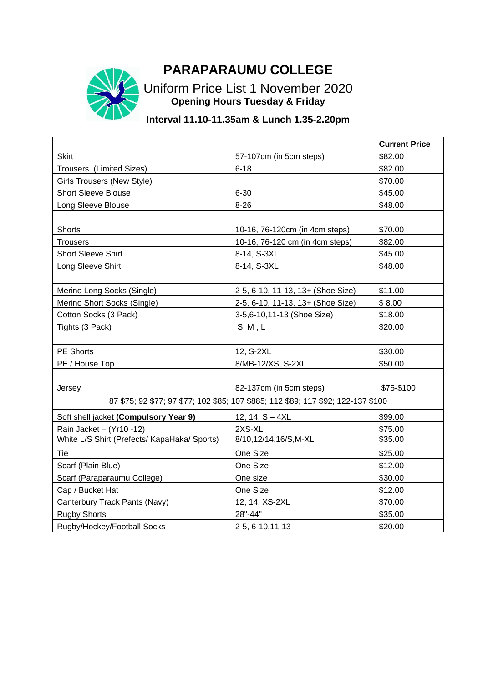## **PARAPARAUMU COLLEGE**



Uniform Price List 1 November 2020 **Opening Hours Tuesday & Friday**

## **Interval 11.10-11.35am & Lunch 1.35-2.20pm**

|                                                                                   |                                   | <b>Current Price</b> |  |
|-----------------------------------------------------------------------------------|-----------------------------------|----------------------|--|
| <b>Skirt</b>                                                                      | 57-107cm (in 5cm steps)           | \$82.00              |  |
| Trousers (Limited Sizes)                                                          | $6 - 18$                          | \$82.00              |  |
| <b>Girls Trousers (New Style)</b>                                                 |                                   | \$70.00              |  |
| <b>Short Sleeve Blouse</b>                                                        | $6 - 30$                          | \$45.00              |  |
| Long Sleeve Blouse                                                                | $8 - 26$                          | \$48.00              |  |
|                                                                                   |                                   |                      |  |
| <b>Shorts</b>                                                                     | 10-16, 76-120cm (in 4cm steps)    | \$70.00              |  |
| <b>Trousers</b>                                                                   | 10-16, 76-120 cm (in 4cm steps)   | \$82.00              |  |
| <b>Short Sleeve Shirt</b>                                                         | 8-14, S-3XL                       | \$45.00              |  |
| Long Sleeve Shirt                                                                 | 8-14, S-3XL                       | \$48.00              |  |
|                                                                                   |                                   |                      |  |
| Merino Long Socks (Single)                                                        | 2-5, 6-10, 11-13, 13+ (Shoe Size) | \$11.00              |  |
| Merino Short Socks (Single)                                                       | 2-5, 6-10, 11-13, 13+ (Shoe Size) | \$8.00               |  |
| Cotton Socks (3 Pack)                                                             | 3-5,6-10,11-13 (Shoe Size)        | \$18.00              |  |
| Tights (3 Pack)                                                                   | S, M, L                           | \$20.00              |  |
|                                                                                   |                                   |                      |  |
| PE Shorts                                                                         | 12, S-2XL                         | \$30.00              |  |
| PE / House Top                                                                    | 8/MB-12/XS, S-2XL                 | \$50.00              |  |
|                                                                                   |                                   |                      |  |
| Jersey                                                                            | 82-137cm (in 5cm steps)           | \$75-\$100           |  |
| 87 \$75; 92 \$77; 97 \$77; 102 \$85; 107 \$885; 112 \$89; 117 \$92; 122-137 \$100 |                                   |                      |  |
| Soft shell jacket (Compulsory Year 9)                                             | 12, 14, $S - 4XL$                 | \$99.00              |  |
| Rain Jacket - (Yr10 -12)                                                          | 2XS-XL                            | \$75.00              |  |
| White L/S Shirt (Prefects/ KapaHaka/ Sports)                                      | 8/10,12/14,16/S,M-XL              | \$35.00              |  |
| Tie                                                                               | One Size                          | \$25.00              |  |
| Scarf (Plain Blue)                                                                | One Size                          | \$12.00              |  |
| Scarf (Paraparaumu College)                                                       | One size                          | \$30.00              |  |
| Cap / Bucket Hat                                                                  | One Size                          | \$12.00              |  |
| Canterbury Track Pants (Navy)                                                     | 12, 14, XS-2XL                    | \$70.00              |  |
| <b>Rugby Shorts</b>                                                               | 28"-44"                           | \$35.00              |  |
| Rugby/Hockey/Football Socks                                                       | 2-5, 6-10, 11-13                  | \$20.00              |  |